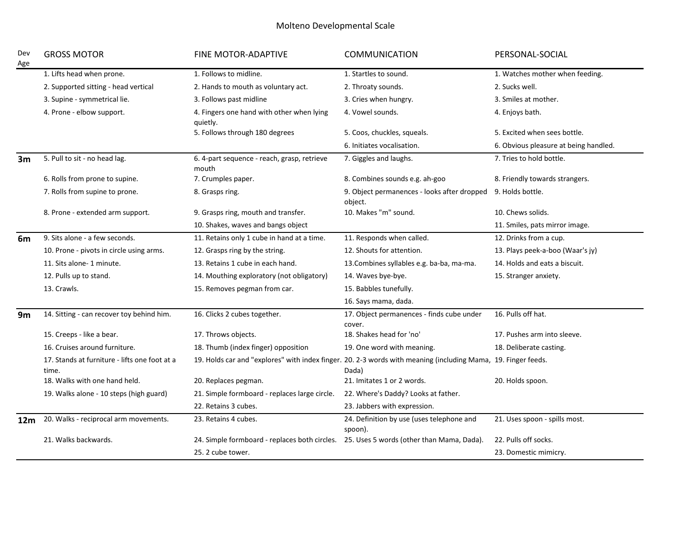## Molteno Developmental Scale

| Dev<br>Age | <b>GROSS MOTOR</b>                                     | <b>FINE MOTOR-ADAPTIVE</b>                                                              | <b>COMMUNICATION</b>                                                                                                   | PERSONAL-SOCIAL                       |
|------------|--------------------------------------------------------|-----------------------------------------------------------------------------------------|------------------------------------------------------------------------------------------------------------------------|---------------------------------------|
|            | 1. Lifts head when prone.                              | 1. Follows to midline.                                                                  | 1. Startles to sound.                                                                                                  | 1. Watches mother when feeding.       |
|            | 2. Supported sitting - head vertical                   | 2. Hands to mouth as voluntary act.                                                     | 2. Throaty sounds.                                                                                                     | 2. Sucks well.                        |
|            | 3. Supine - symmetrical lie.                           | 3. Follows past midline                                                                 | 3. Cries when hungry.                                                                                                  | 3. Smiles at mother.                  |
|            | 4. Prone - elbow support.                              | 4. Fingers one hand with other when lying<br>quietly.                                   | 4. Vowel sounds.                                                                                                       | 4. Enjoys bath.                       |
|            |                                                        | 5. Follows through 180 degrees                                                          | 5. Coos, chuckles, squeals.                                                                                            | 5. Excited when sees bottle.          |
|            |                                                        |                                                                                         | 6. Initiates vocalisation.                                                                                             | 6. Obvious pleasure at being handled. |
| 3m         | 5. Pull to sit - no head lag.                          | 6. 4-part sequence - reach, grasp, retrieve<br>mouth                                    | 7. Giggles and laughs.                                                                                                 | 7. Tries to hold bottle.              |
|            | 6. Rolls from prone to supine.                         | 7. Crumples paper.                                                                      | 8. Combines sounds e.g. ah-goo                                                                                         | 8. Friendly towards strangers.        |
|            | 7. Rolls from supine to prone.                         | 8. Grasps ring.                                                                         | 9. Object permanences - looks after dropped<br>object.                                                                 | 9. Holds bottle.                      |
|            | 8. Prone - extended arm support.                       | 9. Grasps ring, mouth and transfer.                                                     | 10. Makes "m" sound.                                                                                                   | 10. Chews solids.                     |
|            |                                                        | 10. Shakes, waves and bangs object                                                      |                                                                                                                        | 11. Smiles, pats mirror image.        |
| 6m         | 9. Sits alone - a few seconds.                         | 11. Retains only 1 cube in hand at a time.                                              | 11. Responds when called.                                                                                              | 12. Drinks from a cup.                |
|            | 10. Prone - pivots in circle using arms.               | 12. Grasps ring by the string.                                                          | 12. Shouts for attention.                                                                                              | 13. Plays peek-a-boo (Waar's jy)      |
|            | 11. Sits alone-1 minute.                               | 13. Retains 1 cube in each hand.                                                        | 13. Combines syllables e.g. ba-ba, ma-ma.                                                                              | 14. Holds and eats a biscuit.         |
|            | 12. Pulls up to stand.                                 | 14. Mouthing exploratory (not obligatory)                                               | 14. Waves bye-bye.                                                                                                     | 15. Stranger anxiety.                 |
|            | 13. Crawls.                                            | 15. Removes pegman from car.                                                            | 15. Babbles tunefully.                                                                                                 |                                       |
|            |                                                        |                                                                                         | 16. Says mama, dada.                                                                                                   |                                       |
| 9m         | 14. Sitting - can recover toy behind him.              | 16. Clicks 2 cubes together.                                                            | 17. Object permanences - finds cube under<br>cover.                                                                    | 16. Pulls off hat.                    |
|            | 15. Creeps - like a bear.                              | 17. Throws objects.                                                                     | 18. Shakes head for 'no'                                                                                               | 17. Pushes arm into sleeve.           |
|            | 16. Cruises around furniture.                          | 18. Thumb (index finger) opposition                                                     | 19. One word with meaning.                                                                                             | 18. Deliberate casting.               |
|            | 17. Stands at furniture - lifts one foot at a<br>time. |                                                                                         | 19. Holds car and "explores" with index finger. 20. 2-3 words with meaning (including Mama, 19. Finger feeds.<br>Dada) |                                       |
|            | 18. Walks with one hand held.                          | 20. Replaces pegman.                                                                    | 21. Imitates 1 or 2 words.                                                                                             | 20. Holds spoon.                      |
|            | 19. Walks alone - 10 steps (high guard)                | 21. Simple formboard - replaces large circle.                                           | 22. Where's Daddy? Looks at father.                                                                                    |                                       |
|            |                                                        | 22. Retains 3 cubes.                                                                    | 23. Jabbers with expression.                                                                                           |                                       |
| 12m        | 20. Walks - reciprocal arm movements.                  | 23. Retains 4 cubes.                                                                    | 24. Definition by use (uses telephone and<br>spoon).                                                                   | 21. Uses spoon - spills most.         |
|            | 21. Walks backwards.                                   | 24. Simple formboard - replaces both circles. 25. Uses 5 words (other than Mama, Dada). |                                                                                                                        | 22. Pulls off socks.                  |
|            |                                                        | 25. 2 cube tower.                                                                       |                                                                                                                        | 23. Domestic mimicry.                 |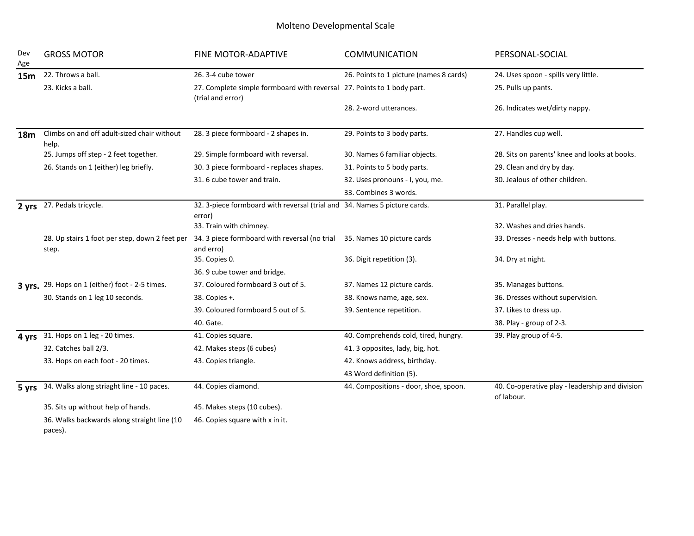## Molteno Developmental Scale

| Dev<br>Age      | <b>GROSS MOTOR</b>                                      | FINE MOTOR-ADAPTIVE                                                                         | <b>COMMUNICATION</b>                    | PERSONAL-SOCIAL                                               |  |
|-----------------|---------------------------------------------------------|---------------------------------------------------------------------------------------------|-----------------------------------------|---------------------------------------------------------------|--|
| 15 <sub>m</sub> | 22. Throws a ball.                                      | 26.3-4 cube tower                                                                           | 26. Points to 1 picture (names 8 cards) | 24. Uses spoon - spills very little.                          |  |
|                 | 23. Kicks a ball.                                       | 27. Complete simple formboard with reversal 27. Points to 1 body part.<br>(trial and error) |                                         | 25. Pulls up pants.                                           |  |
|                 |                                                         |                                                                                             | 28. 2-word utterances.                  | 26. Indicates wet/dirty nappy.                                |  |
| 18 <sub>m</sub> | Climbs on and off adult-sized chair without<br>help.    | 28. 3 piece formboard - 2 shapes in.                                                        | 29. Points to 3 body parts.             | 27. Handles cup well.                                         |  |
|                 | 25. Jumps off step - 2 feet together.                   | 29. Simple formboard with reversal.                                                         | 30. Names 6 familiar objects.           | 28. Sits on parents' knee and looks at books.                 |  |
|                 | 26. Stands on 1 (either) leg briefly.                   | 30. 3 piece formboard - replaces shapes.                                                    | 31. Points to 5 body parts.             | 29. Clean and dry by day.                                     |  |
|                 |                                                         | 31.6 cube tower and train.                                                                  | 32. Uses pronouns - I, you, me.         | 30. Jealous of other children.                                |  |
|                 |                                                         |                                                                                             | 33. Combines 3 words.                   |                                                               |  |
| 2 yrs           | 27. Pedals tricycle.                                    | 32. 3-piece formboard with reversal (trial and 34. Names 5 picture cards.<br>error)         |                                         | 31. Parallel play.                                            |  |
|                 |                                                         | 33. Train with chimney.                                                                     |                                         | 32. Washes and dries hands.                                   |  |
|                 | 28. Up stairs 1 foot per step, down 2 feet per<br>step. | 34. 3 piece formboard with reversal (no trial<br>and erro)                                  | 35. Names 10 picture cards              | 33. Dresses - needs help with buttons.                        |  |
|                 |                                                         | 35. Copies 0.                                                                               | 36. Digit repetition (3).               | 34. Dry at night.                                             |  |
|                 |                                                         | 36. 9 cube tower and bridge.                                                                |                                         |                                                               |  |
|                 | 3 yrs. 29. Hops on 1 (either) foot - 2-5 times.         | 37. Coloured formboard 3 out of 5.                                                          | 37. Names 12 picture cards.             | 35. Manages buttons.                                          |  |
|                 | 30. Stands on 1 leg 10 seconds.                         | 38. Copies +.                                                                               | 38. Knows name, age, sex.               | 36. Dresses without supervision.                              |  |
|                 |                                                         | 39. Coloured formboard 5 out of 5.                                                          | 39. Sentence repetition.                | 37. Likes to dress up.                                        |  |
|                 |                                                         | 40. Gate.                                                                                   |                                         | 38. Play - group of 2-3.                                      |  |
| 4 yrs           | 31. Hops on 1 leg - 20 times.                           | 41. Copies square.                                                                          | 40. Comprehends cold, tired, hungry.    | 39. Play group of 4-5.                                        |  |
|                 | 32. Catches ball 2/3.                                   | 42. Makes steps (6 cubes)                                                                   | 41. 3 opposites, lady, big, hot.        |                                                               |  |
|                 | 33. Hops on each foot - 20 times.                       | 43. Copies triangle.                                                                        | 42. Knows address, birthday.            |                                                               |  |
|                 |                                                         |                                                                                             | 43 Word definition (5).                 |                                                               |  |
| 5 yrs           | 34. Walks along striaght line - 10 paces.               | 44. Copies diamond.                                                                         | 44. Compositions - door, shoe, spoon.   | 40. Co-operative play - leadership and division<br>of labour. |  |
|                 | 35. Sits up without help of hands.                      | 45. Makes steps (10 cubes).                                                                 |                                         |                                                               |  |
|                 | 36. Walks backwards along straight line (10<br>paces).  | 46. Copies square with x in it.                                                             |                                         |                                                               |  |